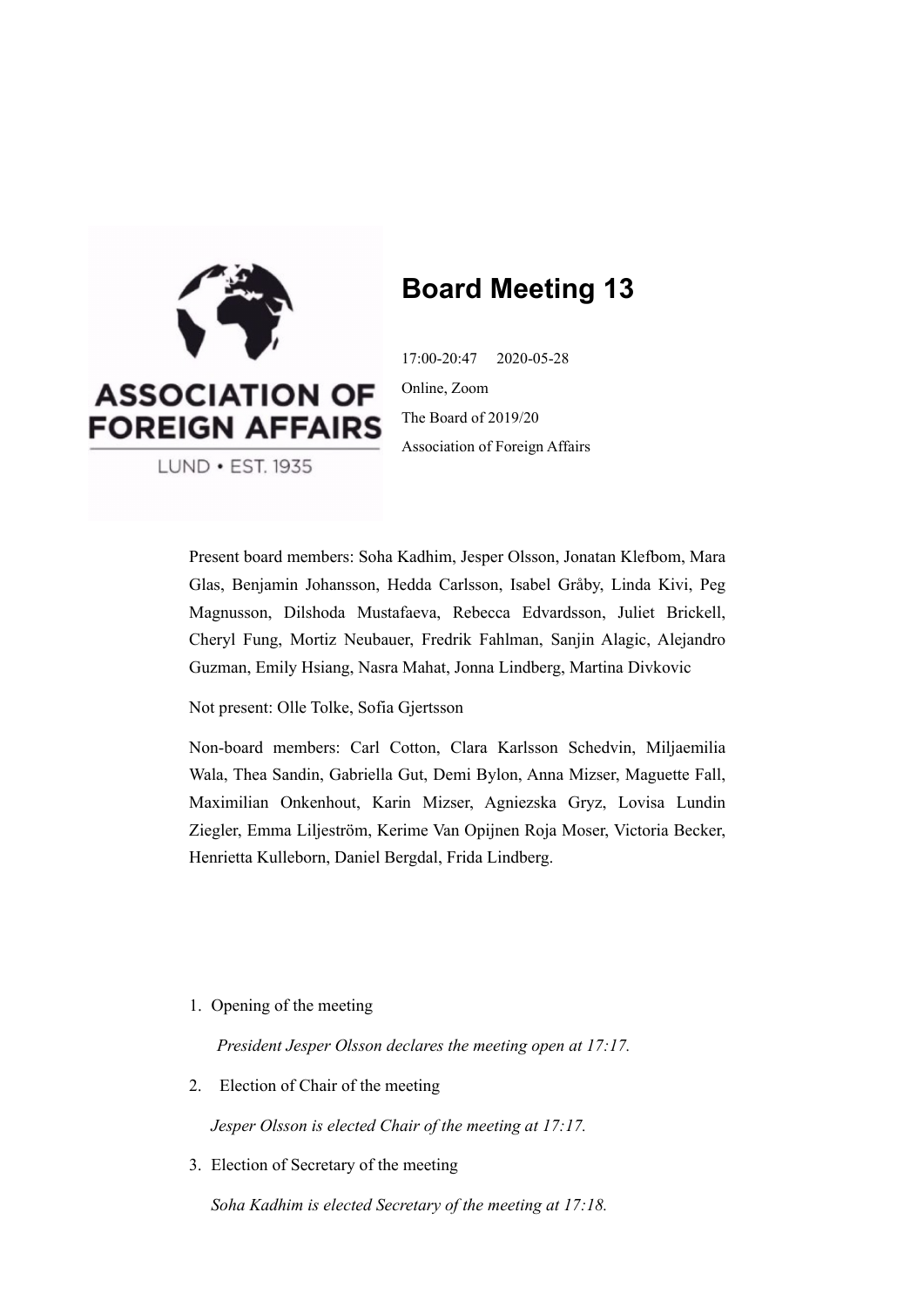

# **Board Meeting 13**

17:00-20:47 2020-05-28 Online, Zoom The Board of 2019/20 Association of Foreign Affairs

LUND · EST. 1935

Present board members: Soha Kadhim, Jesper Olsson, Jonatan Klefbom, Mara Glas, Benjamin Johansson, Hedda Carlsson, Isabel Gråby, Linda Kivi, Peg Magnusson, Dilshoda Mustafaeva, Rebecca Edvardsson, Juliet Brickell, Cheryl Fung, Mortiz Neubauer, Fredrik Fahlman, Sanjin Alagic, Alejandro Guzman, Emily Hsiang, Nasra Mahat, Jonna Lindberg, Martina Divkovic

Not present: Olle Tolke, Sofia Gjertsson

Non-board members: Carl Cotton, Clara Karlsson Schedvin, Miljaemilia Wala, Thea Sandin, Gabriella Gut, Demi Bylon, Anna Mizser, Maguette Fall, Maximilian Onkenhout, Karin Mizser, Agniezska Gryz, Lovisa Lundin Ziegler, Emma Liljeström, Kerime Van Opijnen Roja Moser, Victoria Becker, Henrietta Kulleborn, Daniel Bergdal, Frida Lindberg.

1. Opening of the meeting

*President Jesper Olsson declares the meeting open at 17:17.*

2. Election of Chair of the meeting

*Jesper Olsson is elected Chair of the meeting at 17:17.*

3. Election of Secretary of the meeting

*Soha Kadhim is elected Secretary of the meeting at 17:18.*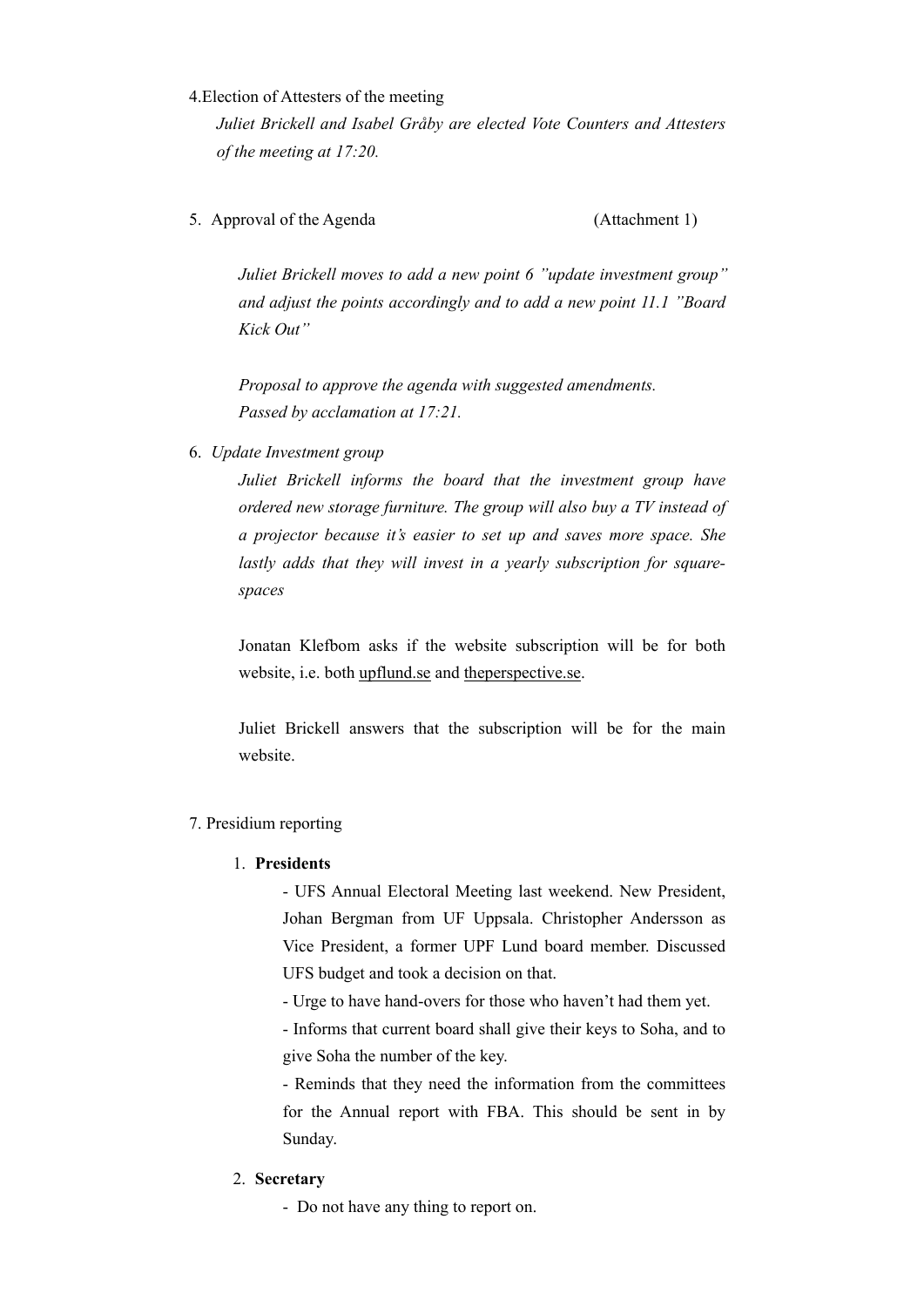#### 4.Election of Attesters of the meeting

*Juliet Brickell and Isabel Gråby are elected Vote Counters and Attesters of the meeting at 17:20.* 

5. Approval of the Agenda (Attachment 1)

*Juliet Brickell moves to add a new point 6 ''update investment group'' and adjust the points accordingly and to add a new point 11.1 ''Board Kick Out''*

*Proposal to approve the agenda with suggested amendments. Passed by acclamation at 17:21.* 

6. *Update Investment group* 

*Juliet Brickell informs the board that the investment group have ordered new storage furniture. The group will also buy a TV instead of a projector because it's easier to set up and saves more space. She lastly adds that they will invest in a yearly subscription for squarespaces* 

Jonatan Klefbom asks if the website subscription will be for both website, i.e. both upflund.se and theperspective.se.

Juliet Brickell answers that the subscription will be for the main website.

## 7. Presidium reporting

## 1. **Presidents**

- UFS Annual Electoral Meeting last weekend. New President, Johan Bergman from UF Uppsala. Christopher Andersson as Vice President, a former UPF Lund board member. Discussed UFS budget and took a decision on that.

- Urge to have hand-overs for those who haven't had them yet.

- Informs that current board shall give their keys to Soha, and to give Soha the number of the key.

- Reminds that they need the information from the committees for the Annual report with FBA. This should be sent in by Sunday.

## 2. **Secretary**

- Do not have any thing to report on.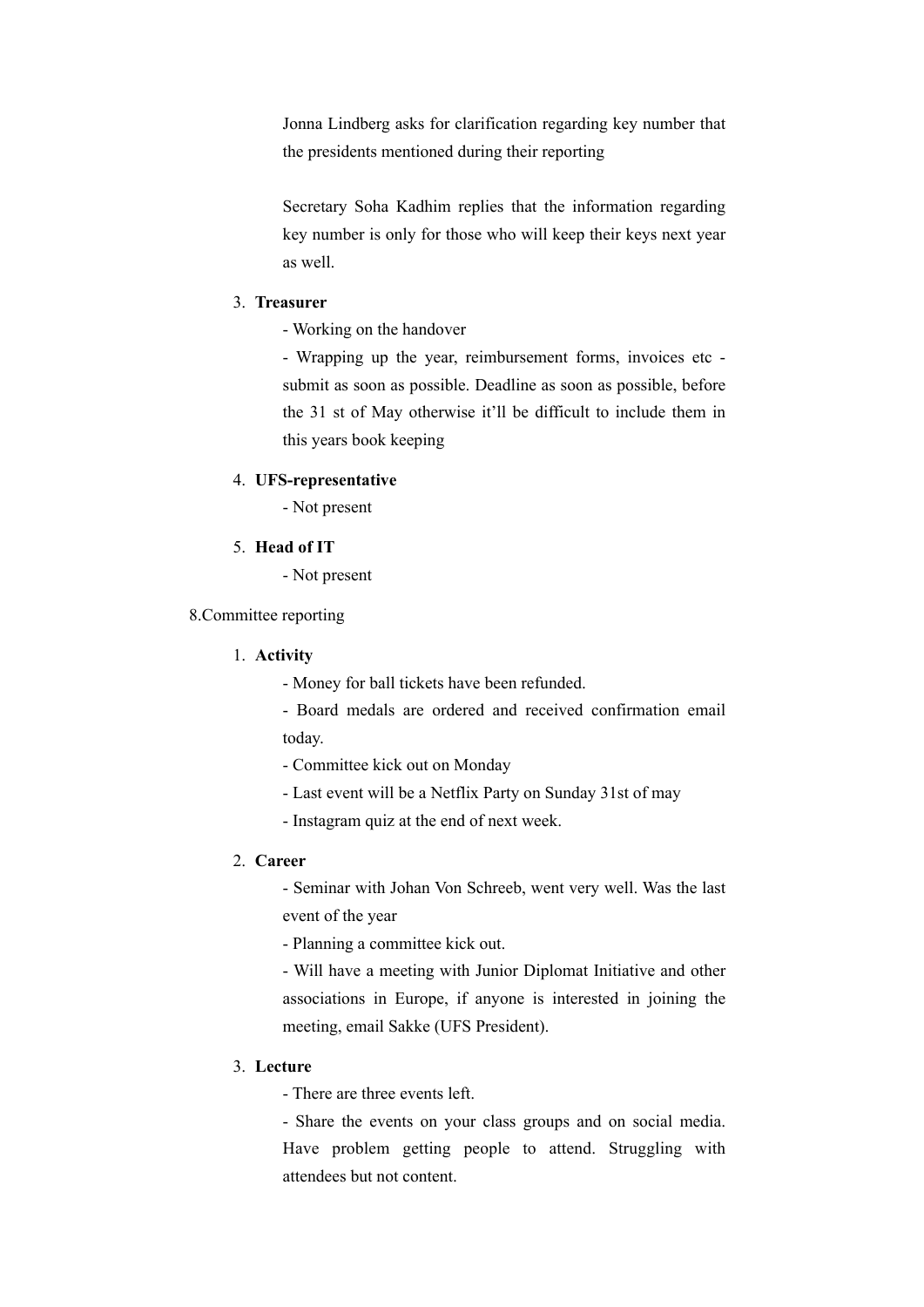Jonna Lindberg asks for clarification regarding key number that the presidents mentioned during their reporting

Secretary Soha Kadhim replies that the information regarding key number is only for those who will keep their keys next year as well.

## 3. **Treasurer**

- Working on the handover

- Wrapping up the year, reimbursement forms, invoices etc submit as soon as possible. Deadline as soon as possible, before the 31 st of May otherwise it'll be difficult to include them in this years book keeping

#### 4. **UFS-representative**

- Not present

#### 5. **Head of IT**

- Not present

8.Committee reporting

## 1. **Activity**

- Money for ball tickets have been refunded.
- Board medals are ordered and received confirmation email today.
- Committee kick out on Monday
- Last event will be a Netflix Party on Sunday 31st of may
- Instagram quiz at the end of next week.

#### 2. **Career**

- Seminar with Johan Von Schreeb, went very well. Was the last event of the year

- Planning a committee kick out.

- Will have a meeting with Junior Diplomat Initiative and other associations in Europe, if anyone is interested in joining the meeting, email Sakke (UFS President).

## 3. **Lecture**

- There are three events left.

- Share the events on your class groups and on social media. Have problem getting people to attend. Struggling with attendees but not content.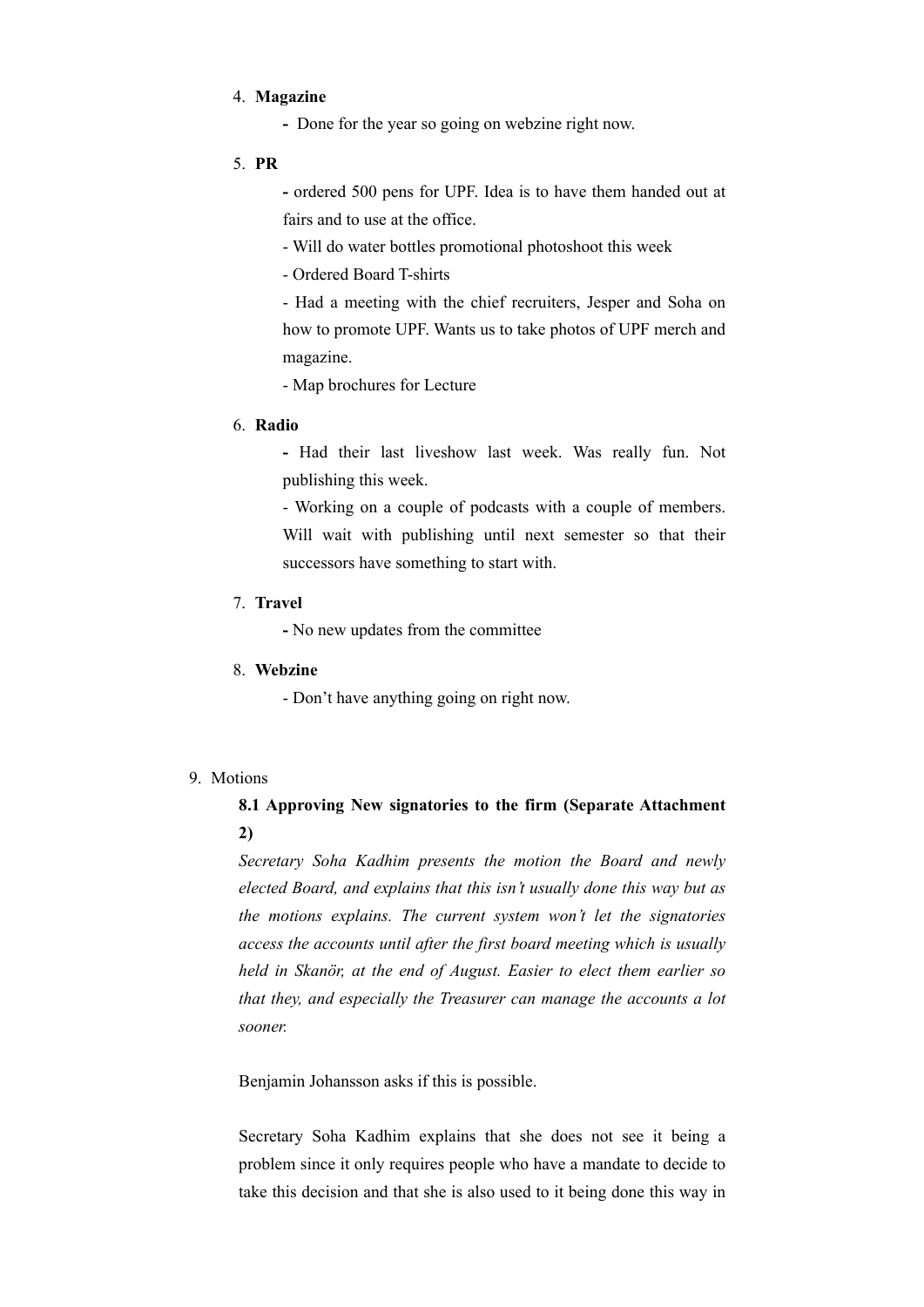#### 4. **Magazine**

- Done for the year so going on webzine right now.
- 5. **PR**

**-** ordered 500 pens for UPF. Idea is to have them handed out at fairs and to use at the office.

- Will do water bottles promotional photoshoot this week

- Ordered Board T-shirts

- Had a meeting with the chief recruiters, Jesper and Soha on how to promote UPF. Wants us to take photos of UPF merch and magazine.

- Map brochures for Lecture

#### 6. **Radio**

**-** Had their last liveshow last week. Was really fun. Not publishing this week.

- Working on a couple of podcasts with a couple of members. Will wait with publishing until next semester so that their successors have something to start with.

#### 7. **Travel**

**-** No new updates from the committee

#### 8. **Webzine**

- Don't have anything going on right now.

## 9. Motions

# **8.1 Approving New signatories to the firm (Separate Attachment 2)**

*Secretary Soha Kadhim presents the motion the Board and newly elected Board, and explains that this isn't usually done this way but as the motions explains. The current system won't let the signatories access the accounts until after the first board meeting which is usually held in Skanör, at the end of August. Easier to elect them earlier so that they, and especially the Treasurer can manage the accounts a lot sooner.* 

Benjamin Johansson asks if this is possible.

Secretary Soha Kadhim explains that she does not see it being a problem since it only requires people who have a mandate to decide to take this decision and that she is also used to it being done this way in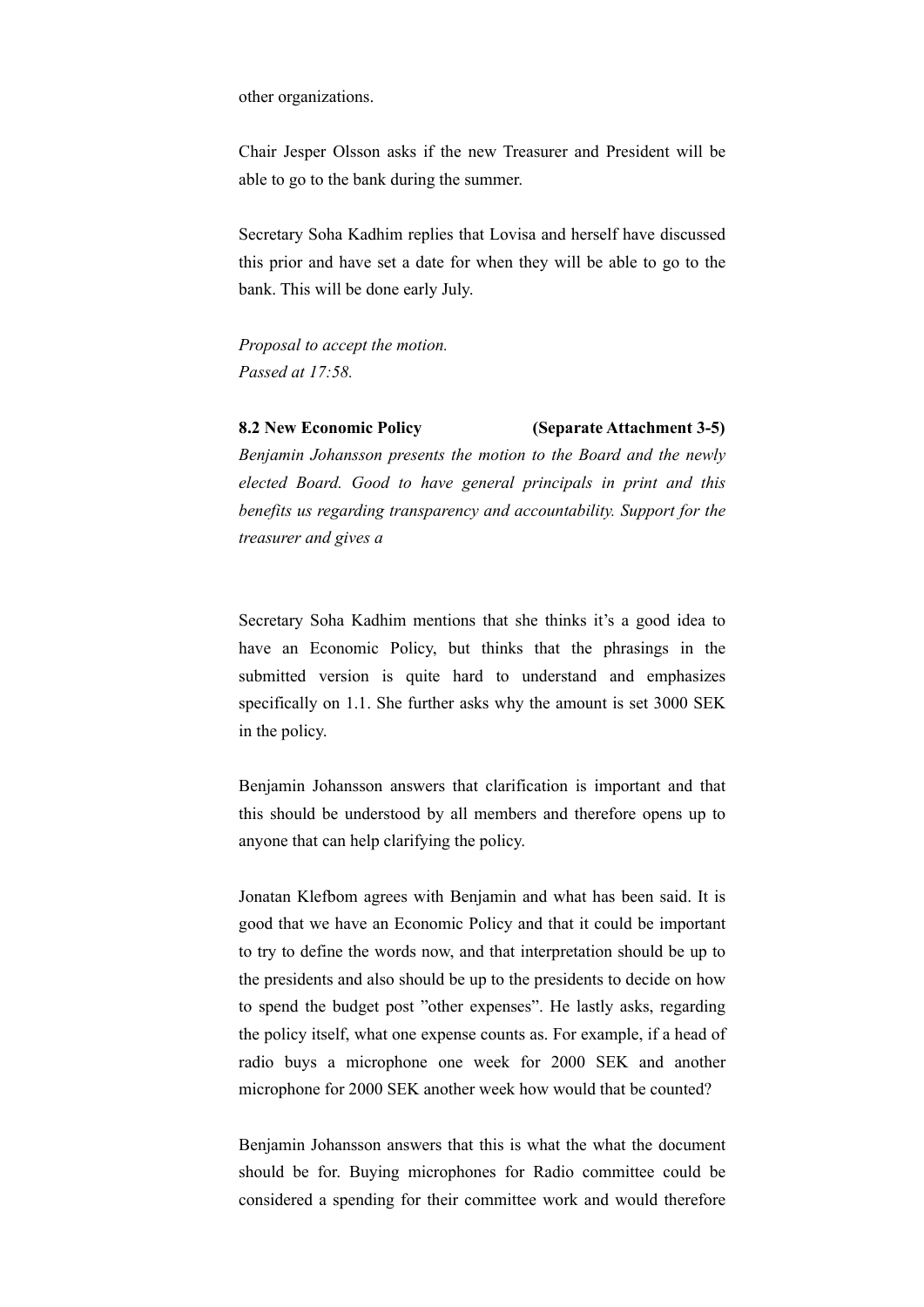other organizations.

Chair Jesper Olsson asks if the new Treasurer and President will be able to go to the bank during the summer.

Secretary Soha Kadhim replies that Lovisa and herself have discussed this prior and have set a date for when they will be able to go to the bank. This will be done early July.

*Proposal to accept the motion. Passed at 17:58.*

#### **8.2 New Economic Policy (Separate Attachment 3-5)**

*Benjamin Johansson presents the motion to the Board and the newly elected Board. Good to have general principals in print and this benefits us regarding transparency and accountability. Support for the treasurer and gives a* 

Secretary Soha Kadhim mentions that she thinks it's a good idea to have an Economic Policy, but thinks that the phrasings in the submitted version is quite hard to understand and emphasizes specifically on 1.1. She further asks why the amount is set 3000 SEK in the policy.

Benjamin Johansson answers that clarification is important and that this should be understood by all members and therefore opens up to anyone that can help clarifying the policy.

Jonatan Klefbom agrees with Benjamin and what has been said. It is good that we have an Economic Policy and that it could be important to try to define the words now, and that interpretation should be up to the presidents and also should be up to the presidents to decide on how to spend the budget post "other expenses". He lastly asks, regarding the policy itself, what one expense counts as. For example, if a head of radio buys a microphone one week for 2000 SEK and another microphone for 2000 SEK another week how would that be counted?

Benjamin Johansson answers that this is what the what the document should be for. Buying microphones for Radio committee could be considered a spending for their committee work and would therefore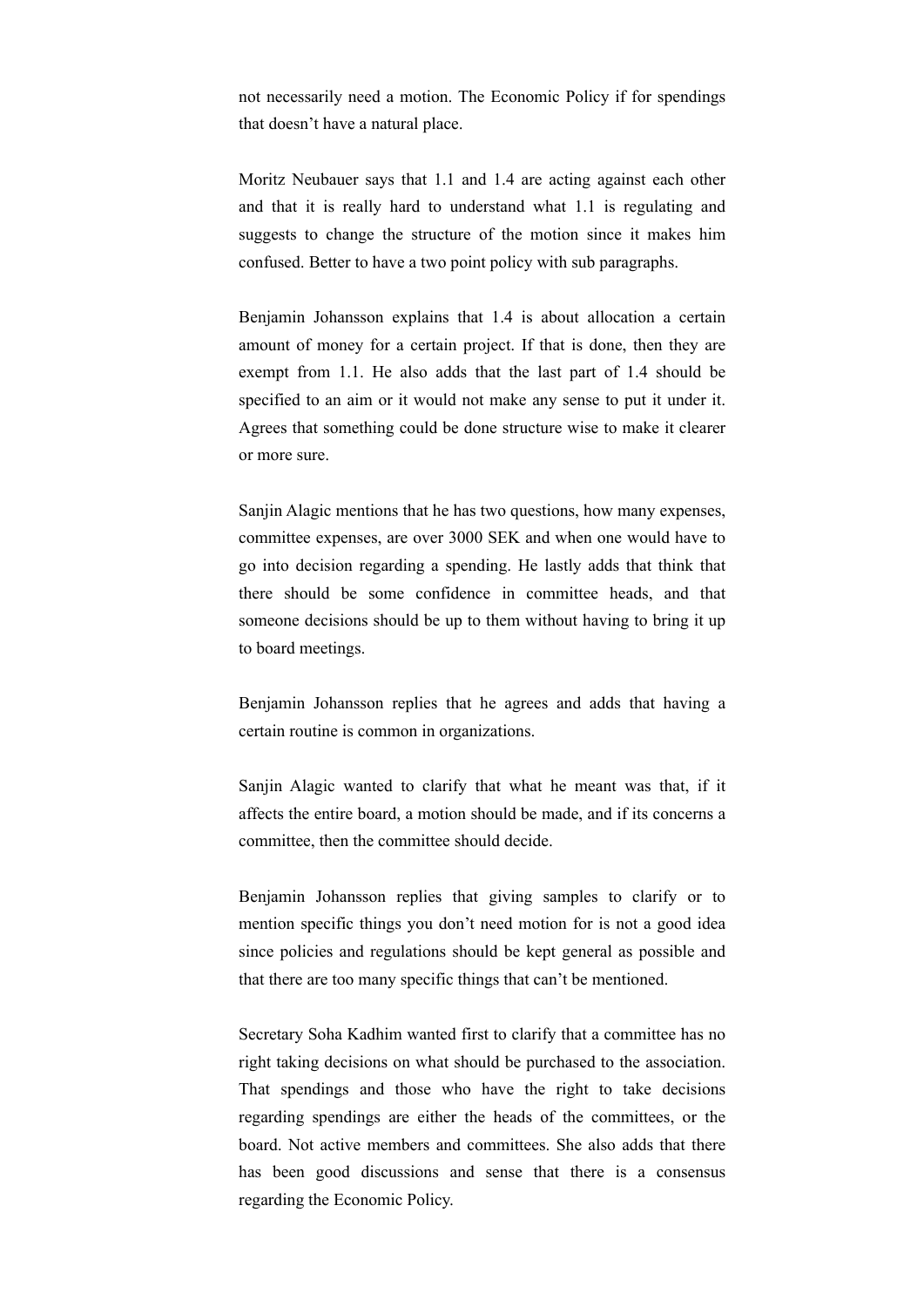not necessarily need a motion. The Economic Policy if for spendings that doesn't have a natural place.

Moritz Neubauer says that 1.1 and 1.4 are acting against each other and that it is really hard to understand what 1.1 is regulating and suggests to change the structure of the motion since it makes him confused. Better to have a two point policy with sub paragraphs.

Benjamin Johansson explains that 1.4 is about allocation a certain amount of money for a certain project. If that is done, then they are exempt from 1.1. He also adds that the last part of 1.4 should be specified to an aim or it would not make any sense to put it under it. Agrees that something could be done structure wise to make it clearer or more sure.

Sanjin Alagic mentions that he has two questions, how many expenses, committee expenses, are over 3000 SEK and when one would have to go into decision regarding a spending. He lastly adds that think that there should be some confidence in committee heads, and that someone decisions should be up to them without having to bring it up to board meetings.

Benjamin Johansson replies that he agrees and adds that having a certain routine is common in organizations.

Sanjin Alagic wanted to clarify that what he meant was that, if it affects the entire board, a motion should be made, and if its concerns a committee, then the committee should decide.

Benjamin Johansson replies that giving samples to clarify or to mention specific things you don't need motion for is not a good idea since policies and regulations should be kept general as possible and that there are too many specific things that can't be mentioned.

Secretary Soha Kadhim wanted first to clarify that a committee has no right taking decisions on what should be purchased to the association. That spendings and those who have the right to take decisions regarding spendings are either the heads of the committees, or the board. Not active members and committees. She also adds that there has been good discussions and sense that there is a consensus regarding the Economic Policy.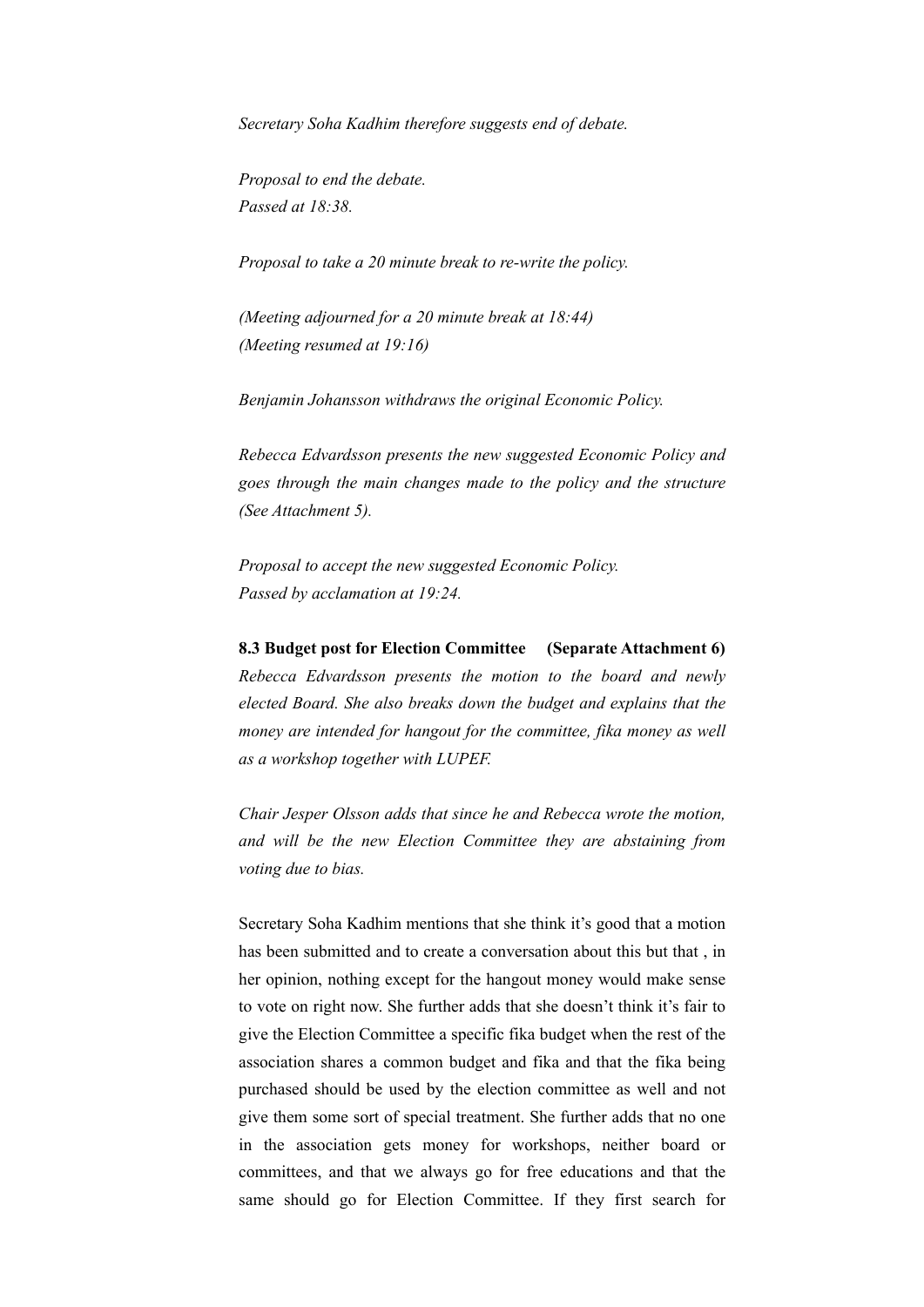*Secretary Soha Kadhim therefore suggests end of debate.* 

*Proposal to end the debate. Passed at 18:38.* 

*Proposal to take a 20 minute break to re-write the policy.* 

*(Meeting adjourned for a 20 minute break at 18:44) (Meeting resumed at 19:16)* 

*Benjamin Johansson withdraws the original Economic Policy.* 

*Rebecca Edvardsson presents the new suggested Economic Policy and goes through the main changes made to the policy and the structure (See Attachment 5).* 

*Proposal to accept the new suggested Economic Policy. Passed by acclamation at 19:24.* 

**8.3 Budget post for Election Committee (Separate Attachment 6)**  *Rebecca Edvardsson presents the motion to the board and newly elected Board. She also breaks down the budget and explains that the money are intended for hangout for the committee, fika money as well as a workshop together with LUPEF.* 

*Chair Jesper Olsson adds that since he and Rebecca wrote the motion, and will be the new Election Committee they are abstaining from voting due to bias.* 

Secretary Soha Kadhim mentions that she think it's good that a motion has been submitted and to create a conversation about this but that , in her opinion, nothing except for the hangout money would make sense to vote on right now. She further adds that she doesn't think it's fair to give the Election Committee a specific fika budget when the rest of the association shares a common budget and fika and that the fika being purchased should be used by the election committee as well and not give them some sort of special treatment. She further adds that no one in the association gets money for workshops, neither board or committees, and that we always go for free educations and that the same should go for Election Committee. If they first search for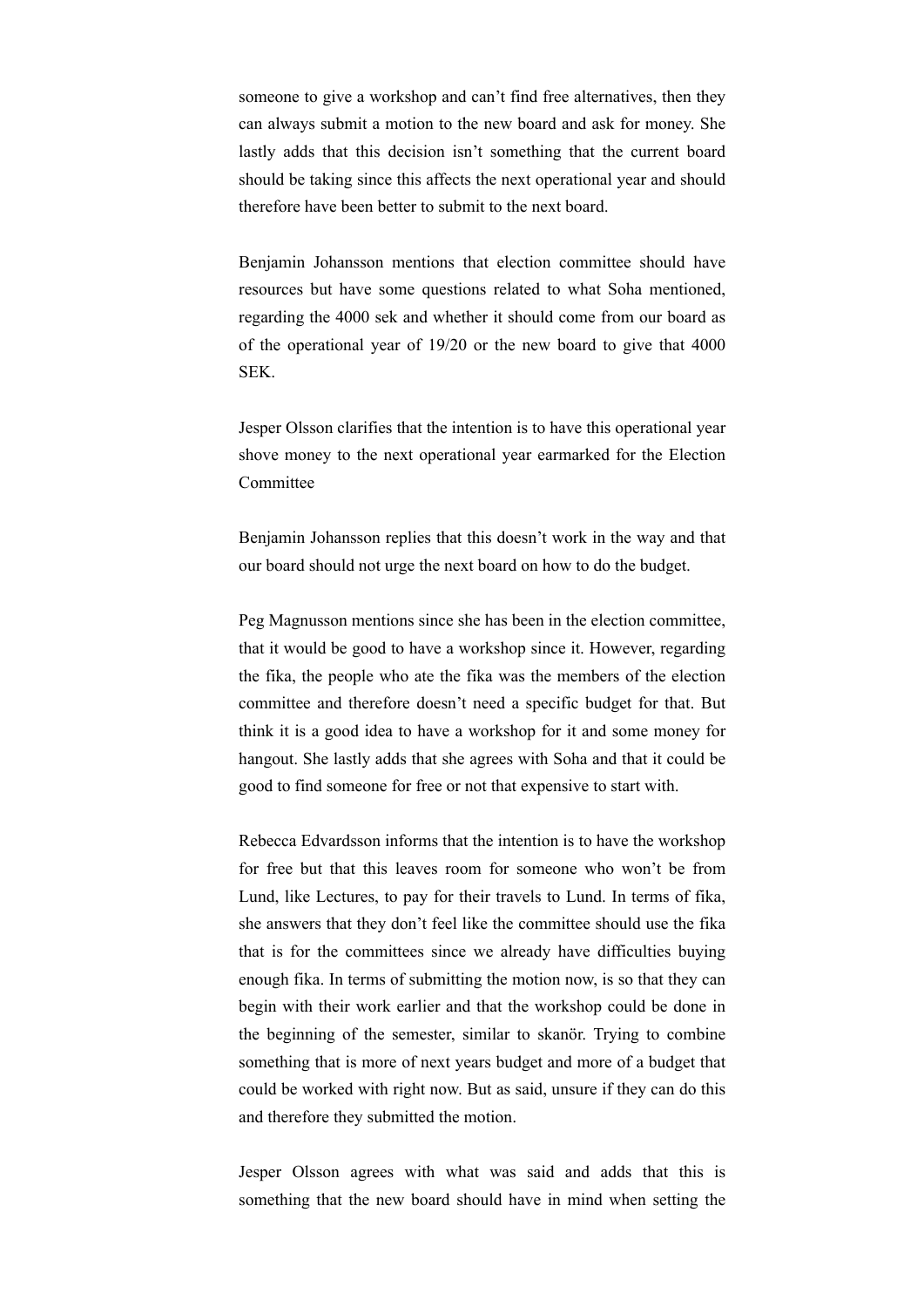someone to give a workshop and can't find free alternatives, then they can always submit a motion to the new board and ask for money. She lastly adds that this decision isn't something that the current board should be taking since this affects the next operational year and should therefore have been better to submit to the next board.

Benjamin Johansson mentions that election committee should have resources but have some questions related to what Soha mentioned, regarding the 4000 sek and whether it should come from our board as of the operational year of 19/20 or the new board to give that 4000 SEK.

Jesper Olsson clarifies that the intention is to have this operational year shove money to the next operational year earmarked for the Election Committee

Benjamin Johansson replies that this doesn't work in the way and that our board should not urge the next board on how to do the budget.

Peg Magnusson mentions since she has been in the election committee, that it would be good to have a workshop since it. However, regarding the fika, the people who ate the fika was the members of the election committee and therefore doesn't need a specific budget for that. But think it is a good idea to have a workshop for it and some money for hangout. She lastly adds that she agrees with Soha and that it could be good to find someone for free or not that expensive to start with.

Rebecca Edvardsson informs that the intention is to have the workshop for free but that this leaves room for someone who won't be from Lund, like Lectures, to pay for their travels to Lund. In terms of fika, she answers that they don't feel like the committee should use the fika that is for the committees since we already have difficulties buying enough fika. In terms of submitting the motion now, is so that they can begin with their work earlier and that the workshop could be done in the beginning of the semester, similar to skanör. Trying to combine something that is more of next years budget and more of a budget that could be worked with right now. But as said, unsure if they can do this and therefore they submitted the motion.

Jesper Olsson agrees with what was said and adds that this is something that the new board should have in mind when setting the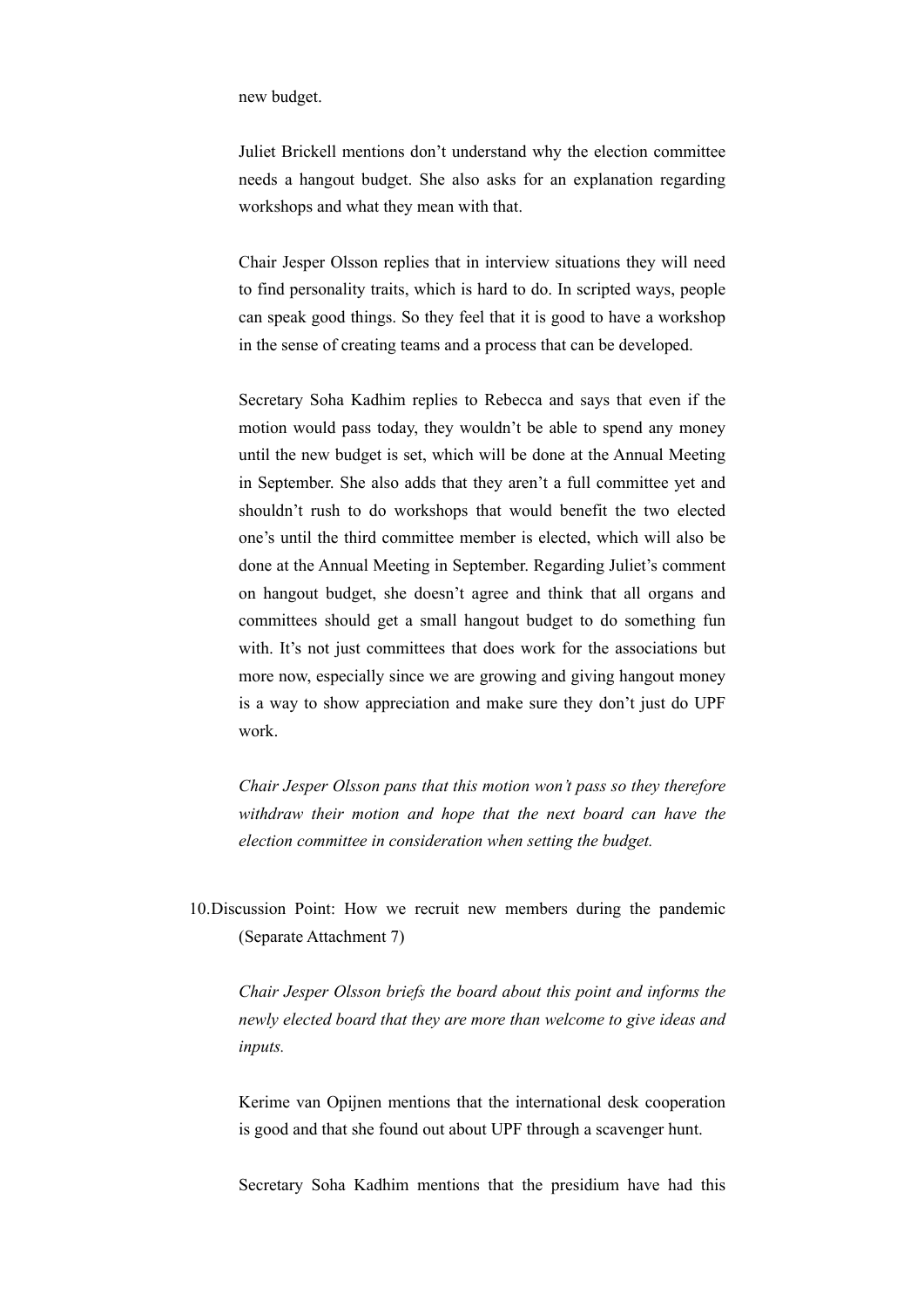new budget.

Juliet Brickell mentions don't understand why the election committee needs a hangout budget. She also asks for an explanation regarding workshops and what they mean with that.

Chair Jesper Olsson replies that in interview situations they will need to find personality traits, which is hard to do. In scripted ways, people can speak good things. So they feel that it is good to have a workshop in the sense of creating teams and a process that can be developed.

Secretary Soha Kadhim replies to Rebecca and says that even if the motion would pass today, they wouldn't be able to spend any money until the new budget is set, which will be done at the Annual Meeting in September. She also adds that they aren't a full committee yet and shouldn't rush to do workshops that would benefit the two elected one's until the third committee member is elected, which will also be done at the Annual Meeting in September. Regarding Juliet's comment on hangout budget, she doesn't agree and think that all organs and committees should get a small hangout budget to do something fun with. It's not just committees that does work for the associations but more now, especially since we are growing and giving hangout money is a way to show appreciation and make sure they don't just do UPF work.

*Chair Jesper Olsson pans that this motion won't pass so they therefore withdraw their motion and hope that the next board can have the election committee in consideration when setting the budget.* 

10.Discussion Point: How we recruit new members during the pandemic (Separate Attachment 7)

*Chair Jesper Olsson briefs the board about this point and informs the newly elected board that they are more than welcome to give ideas and inputs.* 

Kerime van Opijnen mentions that the international desk cooperation is good and that she found out about UPF through a scavenger hunt.

Secretary Soha Kadhim mentions that the presidium have had this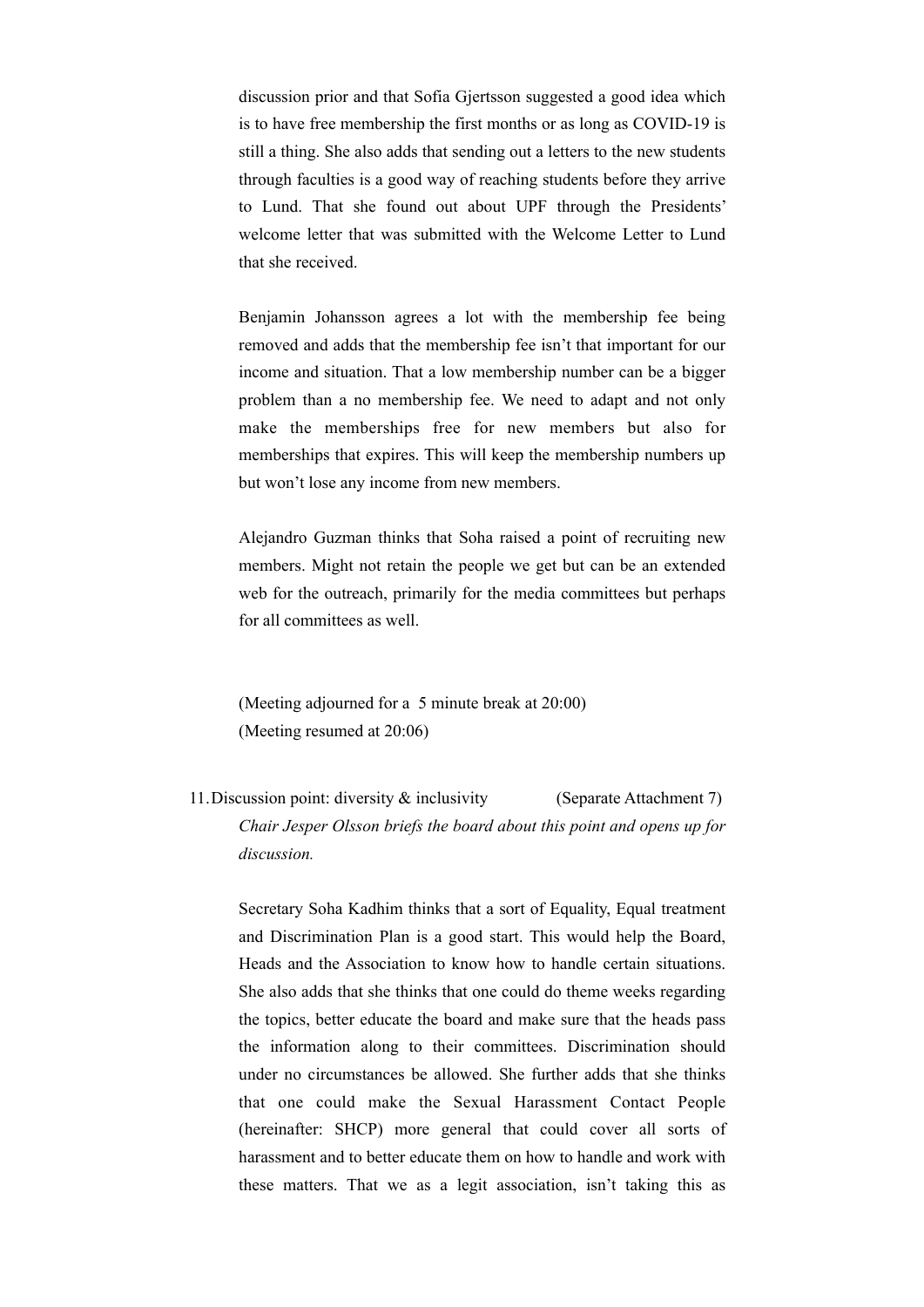discussion prior and that Sofia Gjertsson suggested a good idea which is to have free membership the first months or as long as COVID-19 is still a thing. She also adds that sending out a letters to the new students through faculties is a good way of reaching students before they arrive to Lund. That she found out about UPF through the Presidents' welcome letter that was submitted with the Welcome Letter to Lund that she received.

Benjamin Johansson agrees a lot with the membership fee being removed and adds that the membership fee isn't that important for our income and situation. That a low membership number can be a bigger problem than a no membership fee. We need to adapt and not only make the memberships free for new members but also for memberships that expires. This will keep the membership numbers up but won't lose any income from new members.

Alejandro Guzman thinks that Soha raised a point of recruiting new members. Might not retain the people we get but can be an extended web for the outreach, primarily for the media committees but perhaps for all committees as well.

(Meeting adjourned for a 5 minute break at 20:00) (Meeting resumed at 20:06)

11.Discussion point: diversity & inclusivity (Separate Attachment 7) *Chair Jesper Olsson briefs the board about this point and opens up for discussion.* 

Secretary Soha Kadhim thinks that a sort of Equality, Equal treatment and Discrimination Plan is a good start. This would help the Board, Heads and the Association to know how to handle certain situations. She also adds that she thinks that one could do theme weeks regarding the topics, better educate the board and make sure that the heads pass the information along to their committees. Discrimination should under no circumstances be allowed. She further adds that she thinks that one could make the Sexual Harassment Contact People (hereinafter: SHCP) more general that could cover all sorts of harassment and to better educate them on how to handle and work with these matters. That we as a legit association, isn't taking this as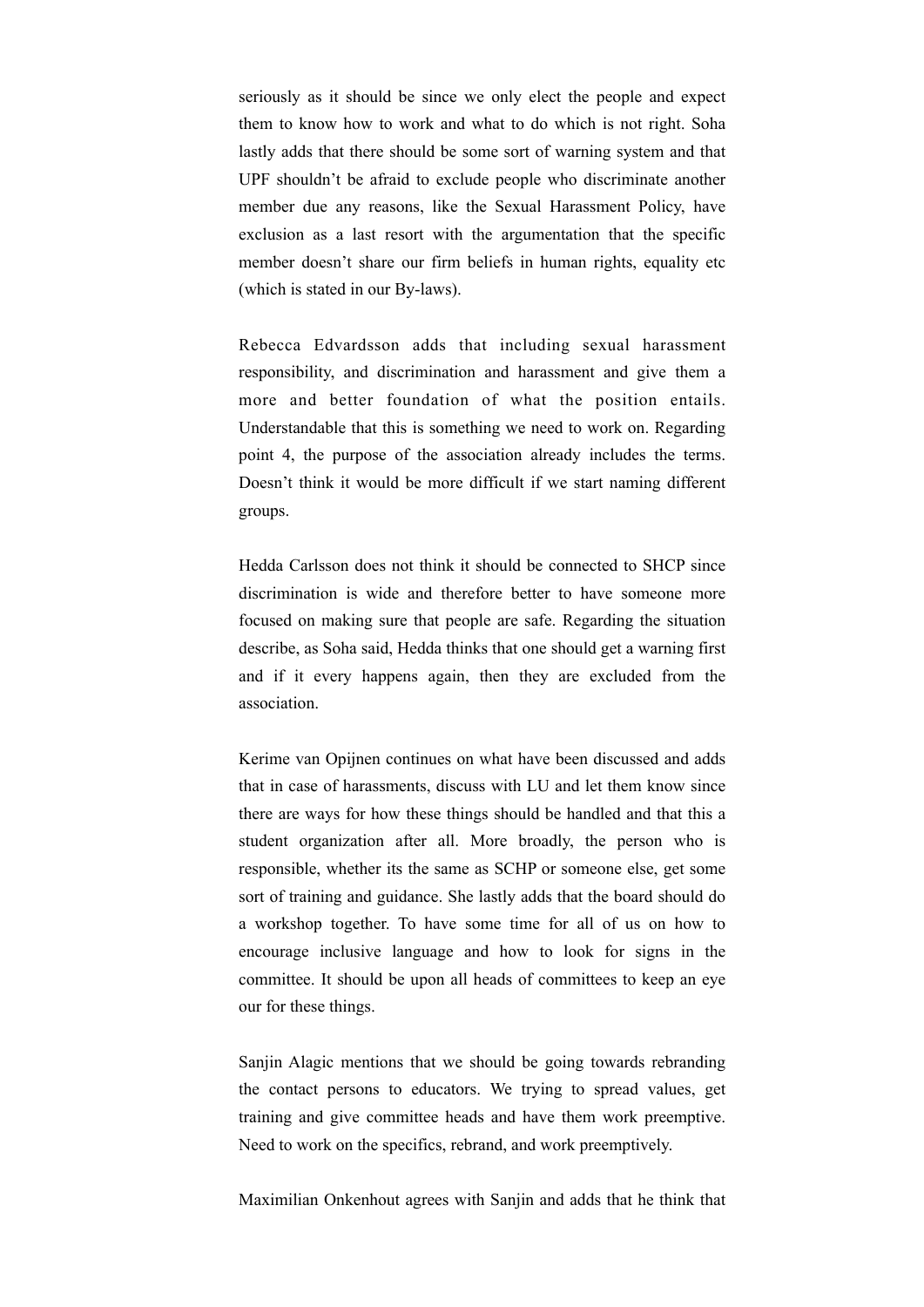seriously as it should be since we only elect the people and expect them to know how to work and what to do which is not right. Soha lastly adds that there should be some sort of warning system and that UPF shouldn't be afraid to exclude people who discriminate another member due any reasons, like the Sexual Harassment Policy, have exclusion as a last resort with the argumentation that the specific member doesn't share our firm beliefs in human rights, equality etc (which is stated in our By-laws).

Rebecca Edvardsson adds that including sexual harassment responsibility, and discrimination and harassment and give them a more and better foundation of what the position entails. Understandable that this is something we need to work on. Regarding point 4, the purpose of the association already includes the terms. Doesn't think it would be more difficult if we start naming different groups.

Hedda Carlsson does not think it should be connected to SHCP since discrimination is wide and therefore better to have someone more focused on making sure that people are safe. Regarding the situation describe, as Soha said, Hedda thinks that one should get a warning first and if it every happens again, then they are excluded from the association.

Kerime van Opijnen continues on what have been discussed and adds that in case of harassments, discuss with LU and let them know since there are ways for how these things should be handled and that this a student organization after all. More broadly, the person who is responsible, whether its the same as SCHP or someone else, get some sort of training and guidance. She lastly adds that the board should do a workshop together. To have some time for all of us on how to encourage inclusive language and how to look for signs in the committee. It should be upon all heads of committees to keep an eye our for these things.

Sanjin Alagic mentions that we should be going towards rebranding the contact persons to educators. We trying to spread values, get training and give committee heads and have them work preemptive. Need to work on the specifics, rebrand, and work preemptively.

Maximilian Onkenhout agrees with Sanjin and adds that he think that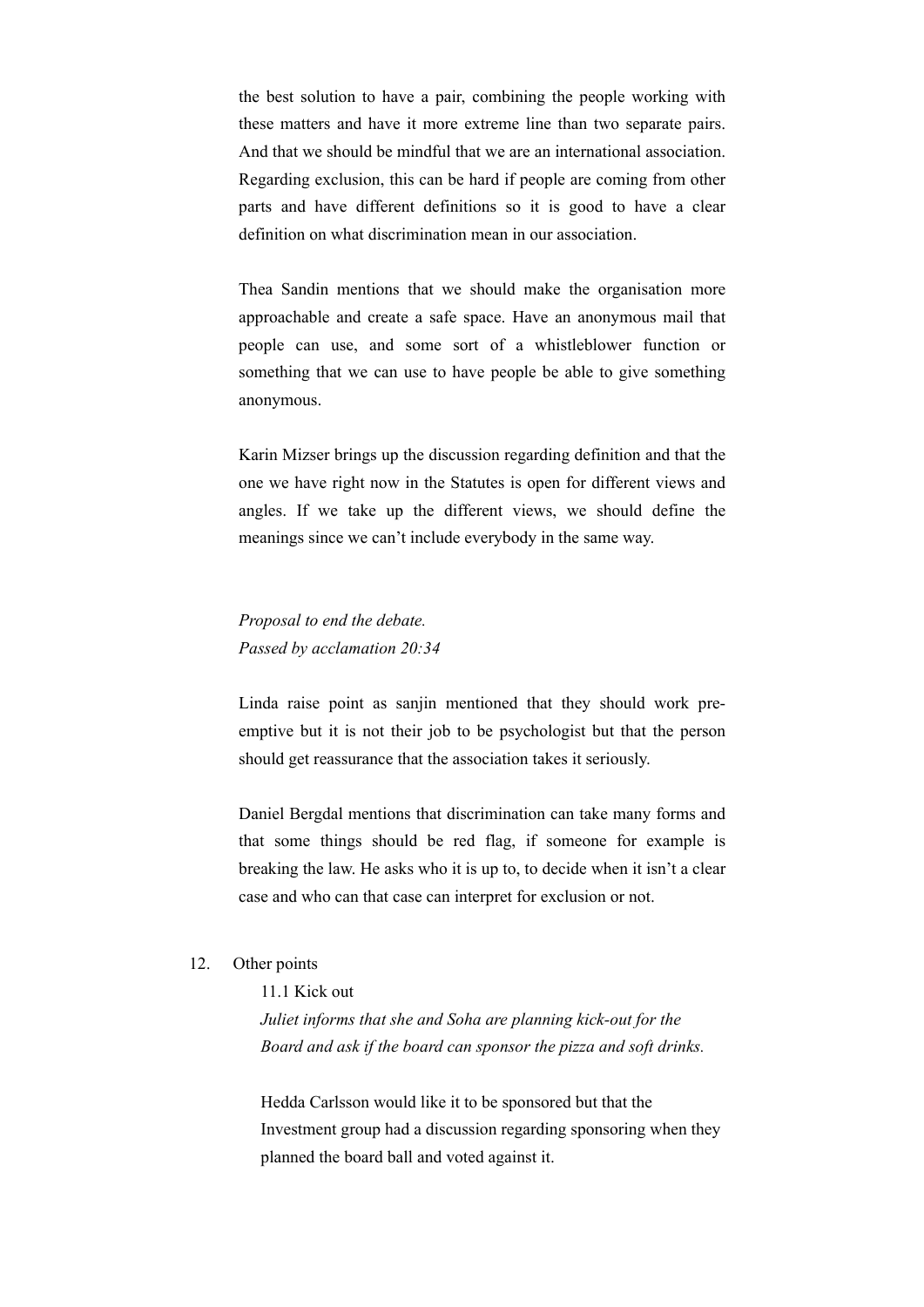the best solution to have a pair, combining the people working with these matters and have it more extreme line than two separate pairs. And that we should be mindful that we are an international association. Regarding exclusion, this can be hard if people are coming from other parts and have different definitions so it is good to have a clear definition on what discrimination mean in our association.

Thea Sandin mentions that we should make the organisation more approachable and create a safe space. Have an anonymous mail that people can use, and some sort of a whistleblower function or something that we can use to have people be able to give something anonymous.

Karin Mizser brings up the discussion regarding definition and that the one we have right now in the Statutes is open for different views and angles. If we take up the different views, we should define the meanings since we can't include everybody in the same way.

*Proposal to end the debate. Passed by acclamation 20:34*

Linda raise point as sanjin mentioned that they should work preemptive but it is not their job to be psychologist but that the person should get reassurance that the association takes it seriously.

Daniel Bergdal mentions that discrimination can take many forms and that some things should be red flag, if someone for example is breaking the law. He asks who it is up to, to decide when it isn't a clear case and who can that case can interpret for exclusion or not.

### 12. Other points

11.1 Kick out

*Juliet informs that she and Soha are planning kick-out for the Board and ask if the board can sponsor the pizza and soft drinks.*

Hedda Carlsson would like it to be sponsored but that the Investment group had a discussion regarding sponsoring when they planned the board ball and voted against it.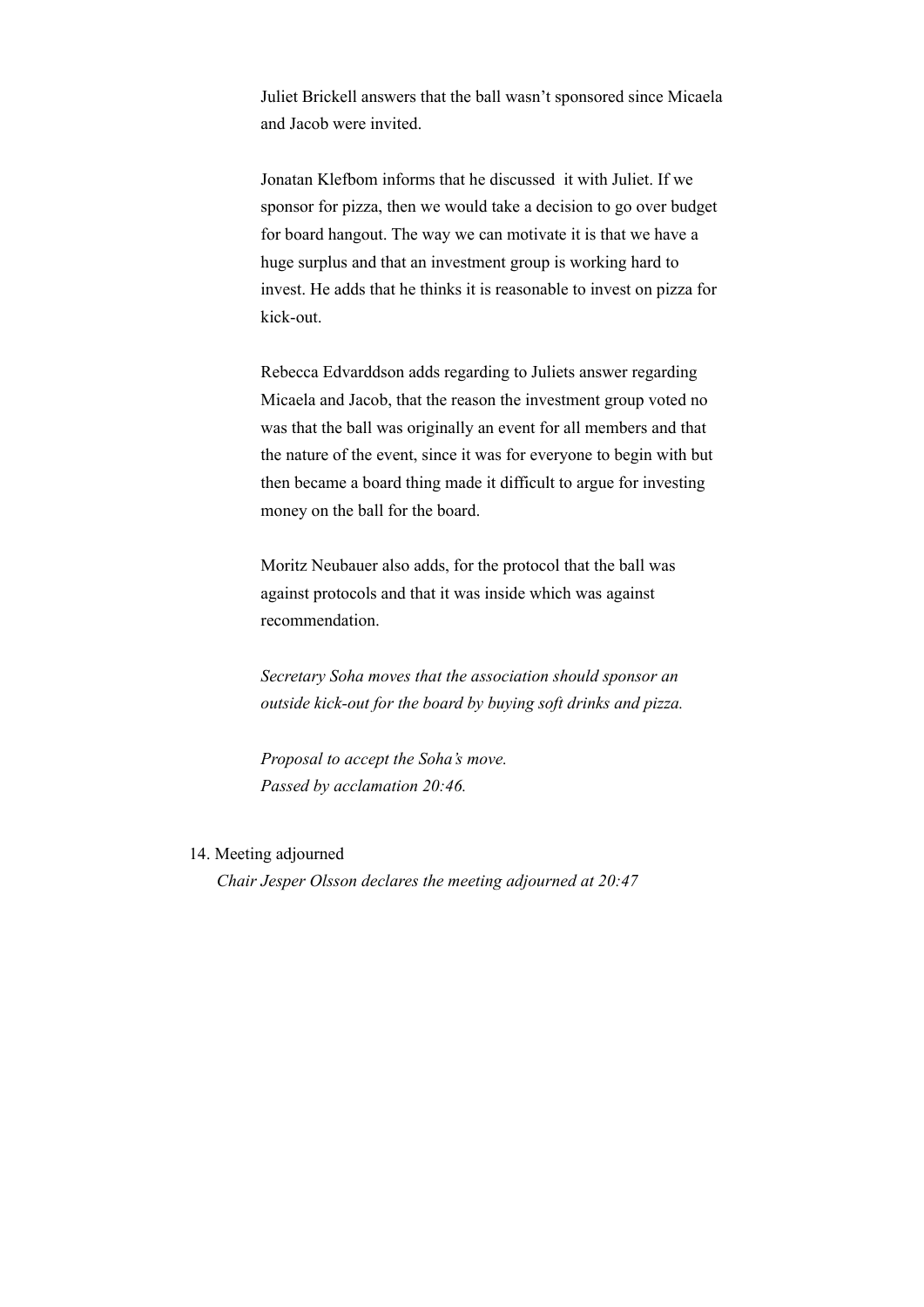Juliet Brickell answers that the ball wasn't sponsored since Micaela and Jacob were invited.

Jonatan Klefbom informs that he discussed it with Juliet. If we sponsor for pizza, then we would take a decision to go over budget for board hangout. The way we can motivate it is that we have a huge surplus and that an investment group is working hard to invest. He adds that he thinks it is reasonable to invest on pizza for kick-out.

Rebecca Edvarddson adds regarding to Juliets answer regarding Micaela and Jacob, that the reason the investment group voted no was that the ball was originally an event for all members and that the nature of the event, since it was for everyone to begin with but then became a board thing made it difficult to argue for investing money on the ball for the board.

Moritz Neubauer also adds, for the protocol that the ball was against protocols and that it was inside which was against recommendation.

*Secretary Soha moves that the association should sponsor an outside kick-out for the board by buying soft drinks and pizza.* 

*Proposal to accept the Soha's move. Passed by acclamation 20:46.* 

14. Meeting adjourned

*Chair Jesper Olsson declares the meeting adjourned at 20:47*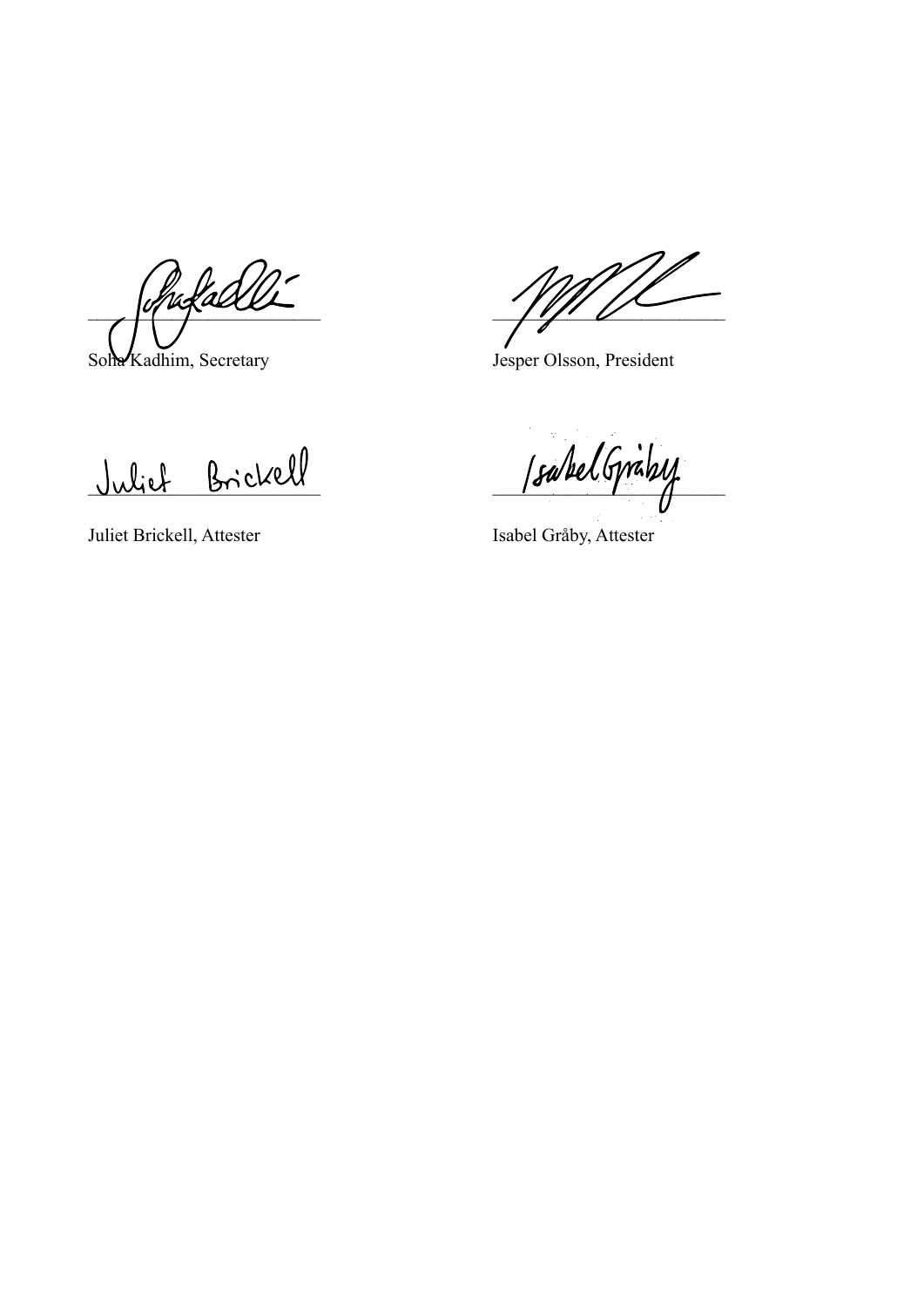$\ell$ ufaell

Soha Kadhim, Secretary Jesper Olsson, President

Juliet Brickell SpakelGrähy

Juliet Brickell, Attester Isabel Gråby, Attester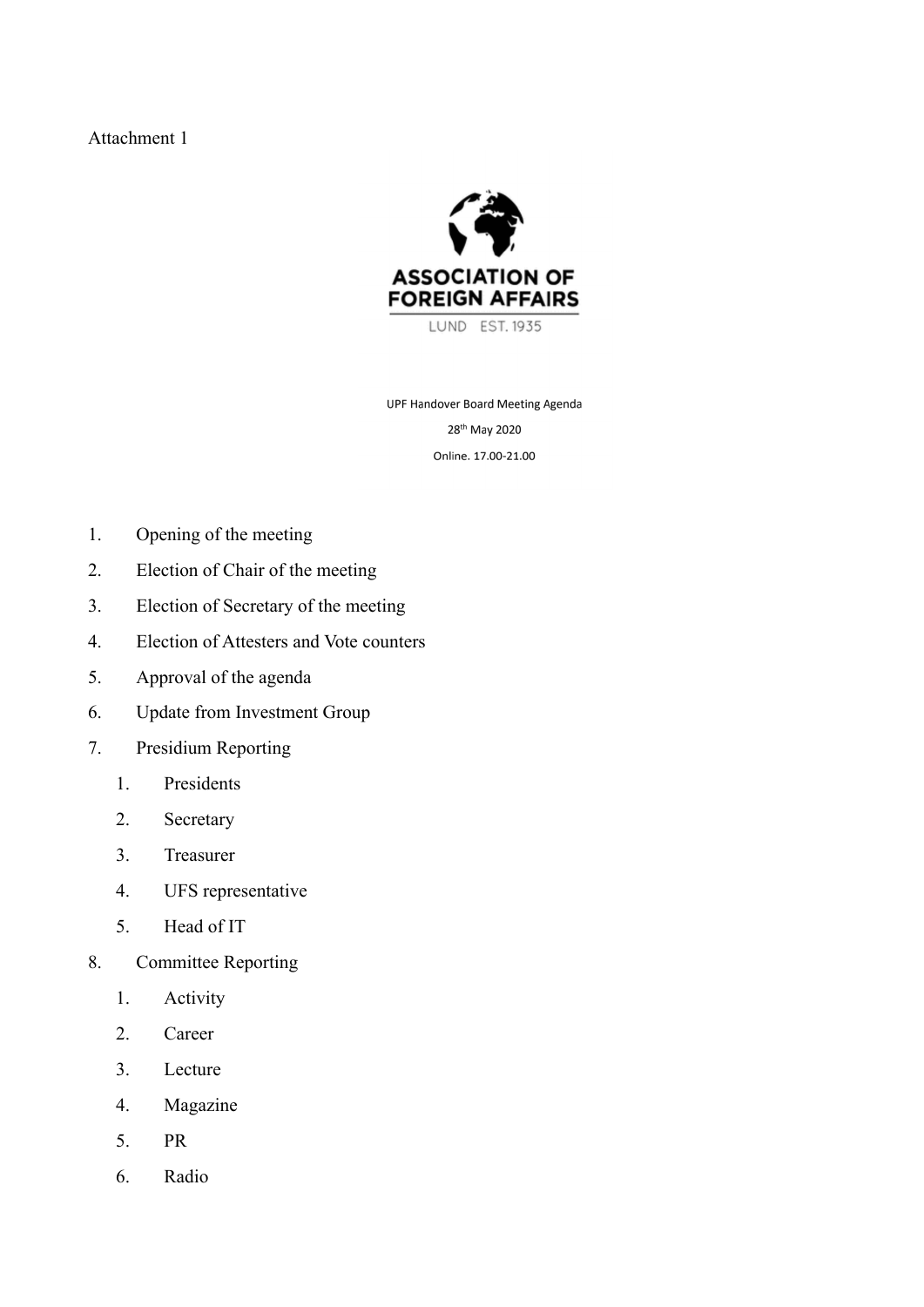## Attachment 1



UPF Handover Board Meeting Agenda 28<sup>th</sup> May 2020 Online. 17.00-21.00

- 1. Opening of the meeting
- 2. Election of Chair of the meeting
- 3. Election of Secretary of the meeting
- 4. Election of Attesters and Vote counters
- 5. Approval of the agenda
- 6. Update from Investment Group
- 7. Presidium Reporting
	- 1. Presidents
	- 2. Secretary
	- 3. Treasurer
	- 4. UFS representative
	- 5. Head of IT
- 8. Committee Reporting
	- 1. Activity
	- 2. Career
	- 3. Lecture
	- 4. Magazine
	- 5. PR
	- 6. Radio